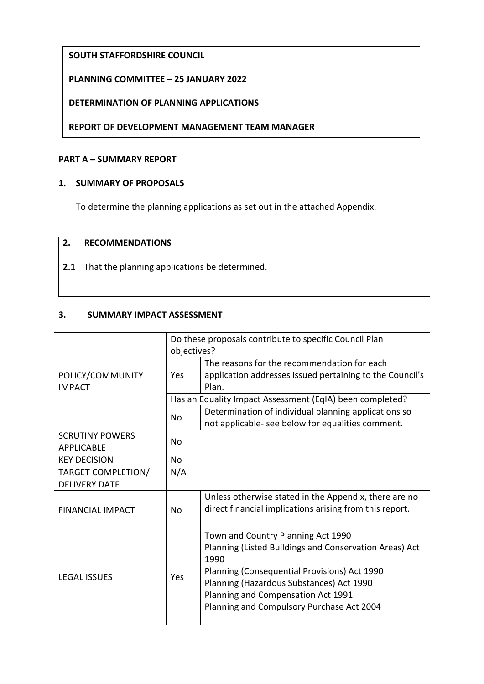# **SOUTH STAFFORDSHIRE COUNCIL**

# **PLANNING COMMITTEE – 25 JANUARY 2022**

### **DETERMINATION OF PLANNING APPLICATIONS**

**REPORT OF DEVELOPMENT MANAGEMENT TEAM MANAGER**

### **PART A – SUMMARY REPORT**

### **1. SUMMARY OF PROPOSALS**

To determine the planning applications as set out in the attached Appendix.

### **2. RECOMMENDATIONS**

**2.1** That the planning applications be determined.

### **3. SUMMARY IMPACT ASSESSMENT**

|                         | Do these proposals contribute to specific Council Plan   |                                                          |  |
|-------------------------|----------------------------------------------------------|----------------------------------------------------------|--|
|                         | objectives?                                              |                                                          |  |
|                         |                                                          | The reasons for the recommendation for each              |  |
| POLICY/COMMUNITY        | Yes                                                      | application addresses issued pertaining to the Council's |  |
| <b>IMPACT</b>           |                                                          | Plan.                                                    |  |
|                         | Has an Equality Impact Assessment (EqIA) been completed? |                                                          |  |
|                         | No                                                       | Determination of individual planning applications so     |  |
|                         |                                                          | not applicable- see below for equalities comment.        |  |
| <b>SCRUTINY POWERS</b>  | No                                                       |                                                          |  |
| <b>APPLICABLE</b>       |                                                          |                                                          |  |
| <b>KEY DECISION</b>     | <b>No</b>                                                |                                                          |  |
| TARGET COMPLETION/      | N/A                                                      |                                                          |  |
| <b>DELIVERY DATE</b>    |                                                          |                                                          |  |
|                         |                                                          | Unless otherwise stated in the Appendix, there are no    |  |
| <b>FINANCIAL IMPACT</b> | No                                                       | direct financial implications arising from this report.  |  |
|                         |                                                          |                                                          |  |
| <b>LEGAL ISSUES</b>     | Yes                                                      | Town and Country Planning Act 1990                       |  |
|                         |                                                          | Planning (Listed Buildings and Conservation Areas) Act   |  |
|                         |                                                          | 1990                                                     |  |
|                         |                                                          | Planning (Consequential Provisions) Act 1990             |  |
|                         |                                                          | Planning (Hazardous Substances) Act 1990                 |  |
|                         |                                                          | Planning and Compensation Act 1991                       |  |
|                         |                                                          | Planning and Compulsory Purchase Act 2004                |  |
|                         |                                                          |                                                          |  |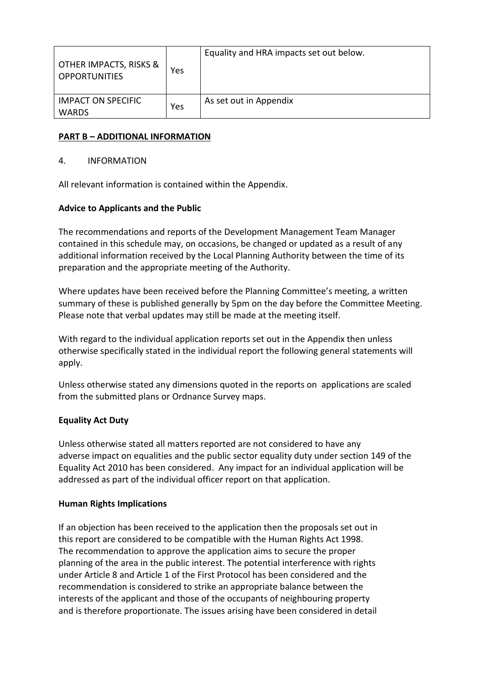| OTHER IMPACTS, RISKS &<br><b>OPPORTUNITIES</b> | Yes | Equality and HRA impacts set out below. |
|------------------------------------------------|-----|-----------------------------------------|
| <b>IMPACT ON SPECIFIC</b><br><b>WARDS</b>      | Yes | As set out in Appendix                  |

# **PART B – ADDITIONAL INFORMATION**

### 4. INFORMATION

All relevant information is contained within the Appendix.

# **Advice to Applicants and the Public**

The recommendations and reports of the Development Management Team Manager contained in this schedule may, on occasions, be changed or updated as a result of any additional information received by the Local Planning Authority between the time of its preparation and the appropriate meeting of the Authority.

Where updates have been received before the Planning Committee's meeting, a written summary of these is published generally by 5pm on the day before the Committee Meeting. Please note that verbal updates may still be made at the meeting itself.

With regard to the individual application reports set out in the Appendix then unless otherwise specifically stated in the individual report the following general statements will apply.

Unless otherwise stated any dimensions quoted in the reports on applications are scaled from the submitted plans or Ordnance Survey maps.

# **Equality Act Duty**

Unless otherwise stated all matters reported are not considered to have any adverse impact on equalities and the public sector equality duty under section 149 of the Equality Act 2010 has been considered. Any impact for an individual application will be addressed as part of the individual officer report on that application.

# **Human Rights Implications**

If an objection has been received to the application then the proposals set out in this report are considered to be compatible with the Human Rights Act 1998. The recommendation to approve the application aims to secure the proper planning of the area in the public interest. The potential interference with rights under Article 8 and Article 1 of the First Protocol has been considered and the recommendation is considered to strike an appropriate balance between the interests of the applicant and those of the occupants of neighbouring property and is therefore proportionate. The issues arising have been considered in detail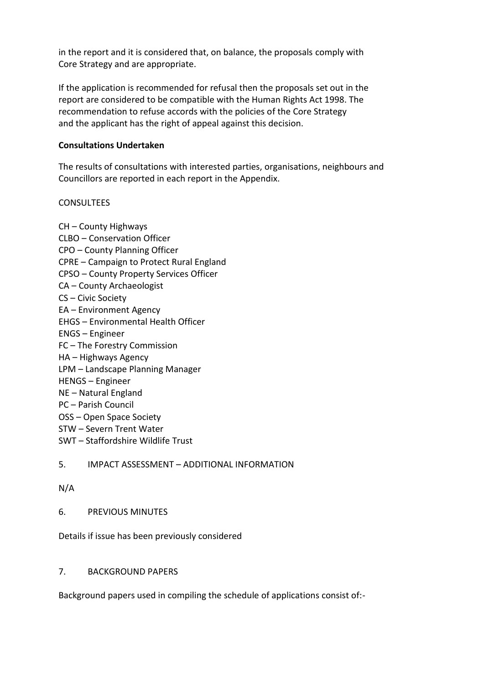in the report and it is considered that, on balance, the proposals comply with Core Strategy and are appropriate.

If the application is recommended for refusal then the proposals set out in the report are considered to be compatible with the Human Rights Act 1998. The recommendation to refuse accords with the policies of the Core Strategy and the applicant has the right of appeal against this decision.

#### **Consultations Undertaken**

The results of consultations with interested parties, organisations, neighbours and Councillors are reported in each report in the Appendix.

#### **CONSULTEES**

CH – County Highways CLBO – Conservation Officer CPO – County Planning Officer CPRE – Campaign to Protect Rural England CPSO – County Property Services Officer CA – County Archaeologist CS – Civic Society EA – Environment Agency EHGS – Environmental Health Officer ENGS – Engineer FC – The Forestry Commission HA – Highways Agency LPM – Landscape Planning Manager HENGS – Engineer NE – Natural England PC – Parish Council OSS – Open Space Society STW – Severn Trent Water SWT – Staffordshire Wildlife Trust

### 5. IMPACT ASSESSMENT – ADDITIONAL INFORMATION

### N/A

### 6. PREVIOUS MINUTES

Details if issue has been previously considered

#### 7. BACKGROUND PAPERS

Background papers used in compiling the schedule of applications consist of:-